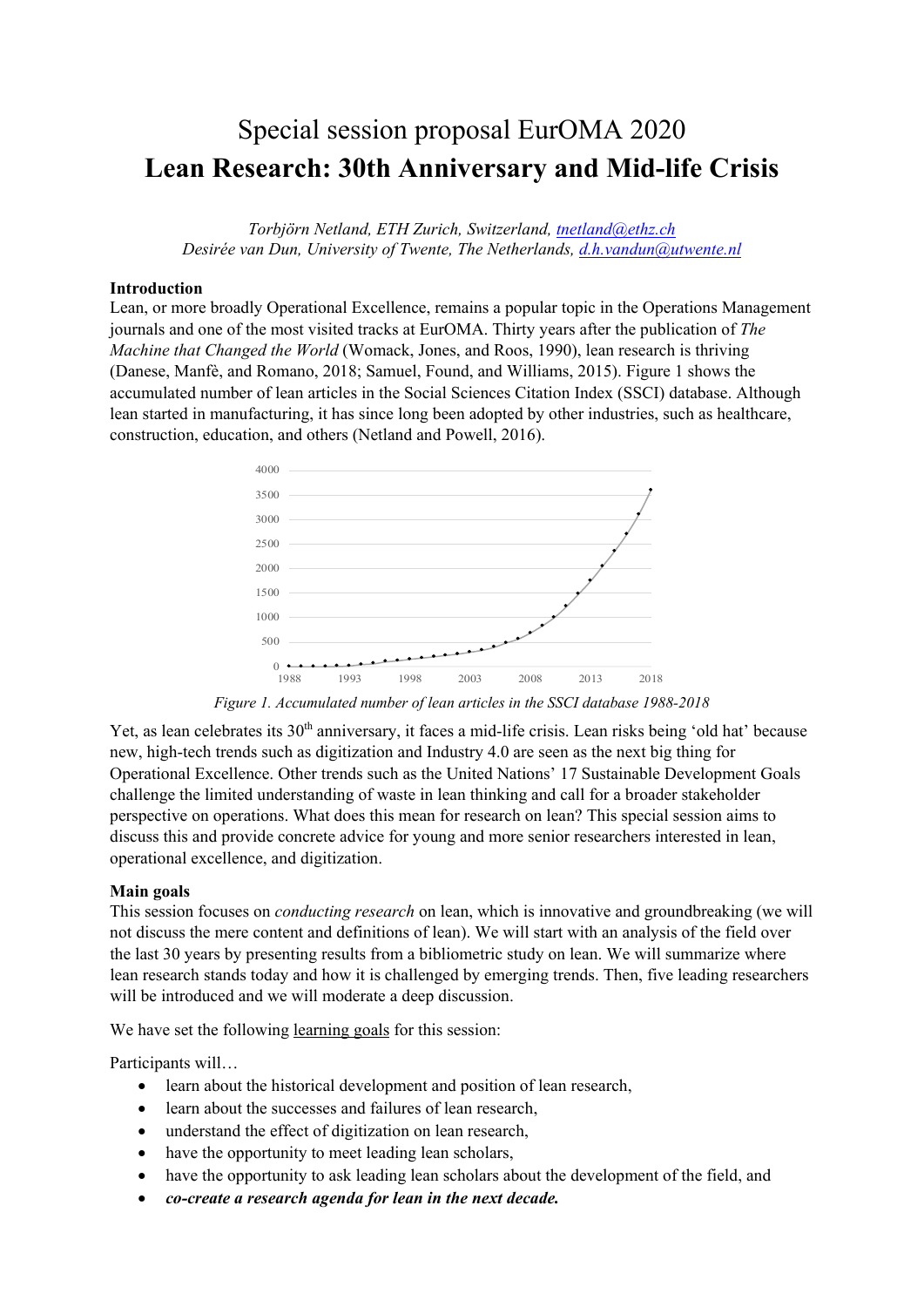# Special session proposal EurOMA 2020 **Lean Research: 30th Anniversary and Mid-life Crisis**

*Torbjörn Netland, ETH Zurich, Switzerland, [tnetland@ethz.ch](mailto:tnetland@ethz.ch) Desirée van Dun, University of Twente, The Netherlands, [d.h.vandun@utwente.nl](mailto:d.h.vandun@utwente.nl)*

#### **Introduction**

Lean, or more broadly Operational Excellence, remains a popular topic in the Operations Management journals and one of the most visited tracks at EurOMA. Thirty years after the publication of *The Machine that Changed the World* (Womack, Jones, and Roos, 1990), lean research is thriving (Danese, Manfè, and Romano, 2018; Samuel, Found, and Williams, 2015). Figure 1 shows the accumulated number of lean articles in the Social Sciences Citation Index (SSCI) database. Although lean started in manufacturing, it has since long been adopted by other industries, such as healthcare, construction, education, and others (Netland and Powell, 2016).



*Figure 1. Accumulated number of lean articles in the SSCI database 1988-2018*

Yet, as lean celebrates its 30<sup>th</sup> anniversary, it faces a mid-life crisis. Lean risks being 'old hat' because new, high-tech trends such as digitization and Industry 4.0 are seen as the next big thing for Operational Excellence. Other trends such as the United Nations' 17 Sustainable Development Goals challenge the limited understanding of waste in lean thinking and call for a broader stakeholder perspective on operations. What does this mean for research on lean? This special session aims to discuss this and provide concrete advice for young and more senior researchers interested in lean, operational excellence, and digitization.

#### **Main goals**

This session focuses on *conducting research* on lean, which is innovative and groundbreaking (we will not discuss the mere content and definitions of lean). We will start with an analysis of the field over the last 30 years by presenting results from a bibliometric study on lean. We will summarize where lean research stands today and how it is challenged by emerging trends. Then, five leading researchers will be introduced and we will moderate a deep discussion.

We have set the following <u>learning goals</u> for this session:

Participants will…

- learn about the historical development and position of lean research,
- learn about the successes and failures of lean research,
- understand the effect of digitization on lean research,
- have the opportunity to meet leading lean scholars,
- have the opportunity to ask leading lean scholars about the development of the field, and
- *co-create a research agenda for lean in the next decade.*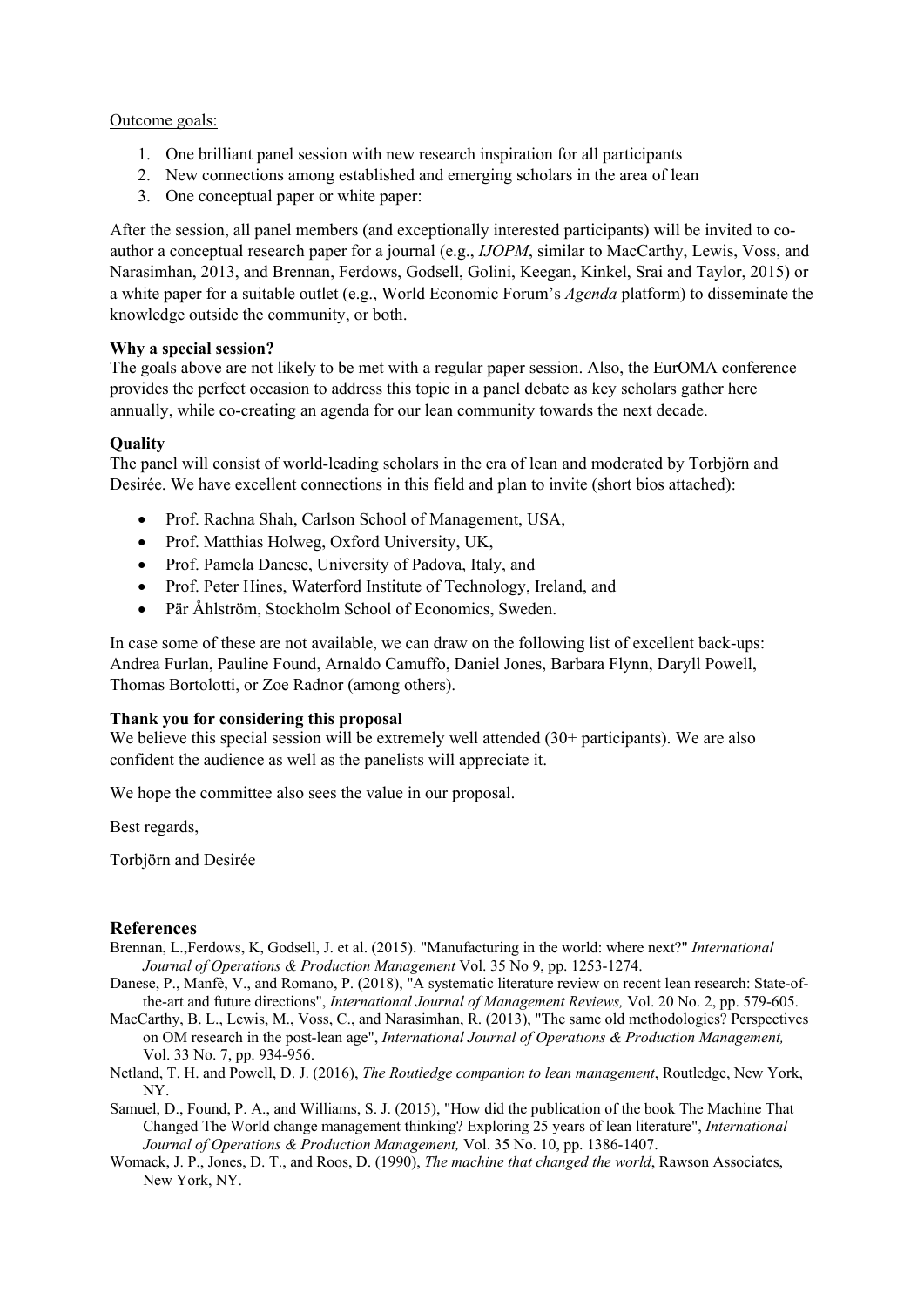#### Outcome goals:

- 1. One brilliant panel session with new research inspiration for all participants
- 2. New connections among established and emerging scholars in the area of lean
- 3. One conceptual paper or white paper:

After the session, all panel members (and exceptionally interested participants) will be invited to coauthor a conceptual research paper for a journal (e.g., *IJOPM*, similar to MacCarthy, Lewis, Voss, and Narasimhan, 2013, and Brennan, Ferdows, Godsell, Golini, Keegan, Kinkel, Srai and Taylor, 2015) or a white paper for a suitable outlet (e.g., World Economic Forum's *Agenda* platform) to disseminate the knowledge outside the community, or both.

#### **Why a special session?**

The goals above are not likely to be met with a regular paper session. Also, the EurOMA conference provides the perfect occasion to address this topic in a panel debate as key scholars gather here annually, while co-creating an agenda for our lean community towards the next decade.

#### **Quality**

The panel will consist of world-leading scholars in the era of lean and moderated by Torbjörn and Desirée. We have excellent connections in this field and plan to invite (short bios attached):

- Prof. Rachna Shah, Carlson School of Management, USA,
- Prof. Matthias Holweg, Oxford University, UK,
- Prof. Pamela Danese, University of Padova, Italy, and
- Prof. Peter Hines, Waterford Institute of Technology, Ireland, and
- Pär Åhlström, Stockholm School of Economics, Sweden.

In case some of these are not available, we can draw on the following list of excellent back-ups: Andrea Furlan, Pauline Found, Arnaldo Camuffo, Daniel Jones, Barbara Flynn, Daryll Powell, Thomas Bortolotti, or Zoe Radnor (among others).

#### **Thank you for considering this proposal**

We believe this special session will be extremely well attended (30+ participants). We are also confident the audience as well as the panelists will appreciate it.

We hope the committee also sees the value in our proposal.

Best regards,

Torbjörn and Desirée

#### **References**

- Brennan, L.,Ferdows, K, Godsell, J. et al. (2015). "Manufacturing in the world: where next?" *International Journal of Operations & Production Management* Vol. 35 No 9, pp. 1253-1274.
- Danese, P., Manfè, V., and Romano, P. (2018), "A systematic literature review on recent lean research: State-ofthe-art and future directions", *International Journal of Management Reviews,* Vol. 20 No. 2, pp. 579-605.
- MacCarthy, B. L., Lewis, M., Voss, C., and Narasimhan, R. (2013), "The same old methodologies? Perspectives on OM research in the post-lean age", *International Journal of Operations & Production Management,*  Vol. 33 No. 7, pp. 934-956.
- Netland, T. H. and Powell, D. J. (2016), *The Routledge companion to lean management*, Routledge, New York, NY.
- Samuel, D., Found, P. A., and Williams, S. J. (2015), "How did the publication of the book The Machine That Changed The World change management thinking? Exploring 25 years of lean literature", *International Journal of Operations & Production Management,* Vol. 35 No. 10, pp. 1386-1407.
- Womack, J. P., Jones, D. T., and Roos, D. (1990), *The machine that changed the world*, Rawson Associates, New York, NY.